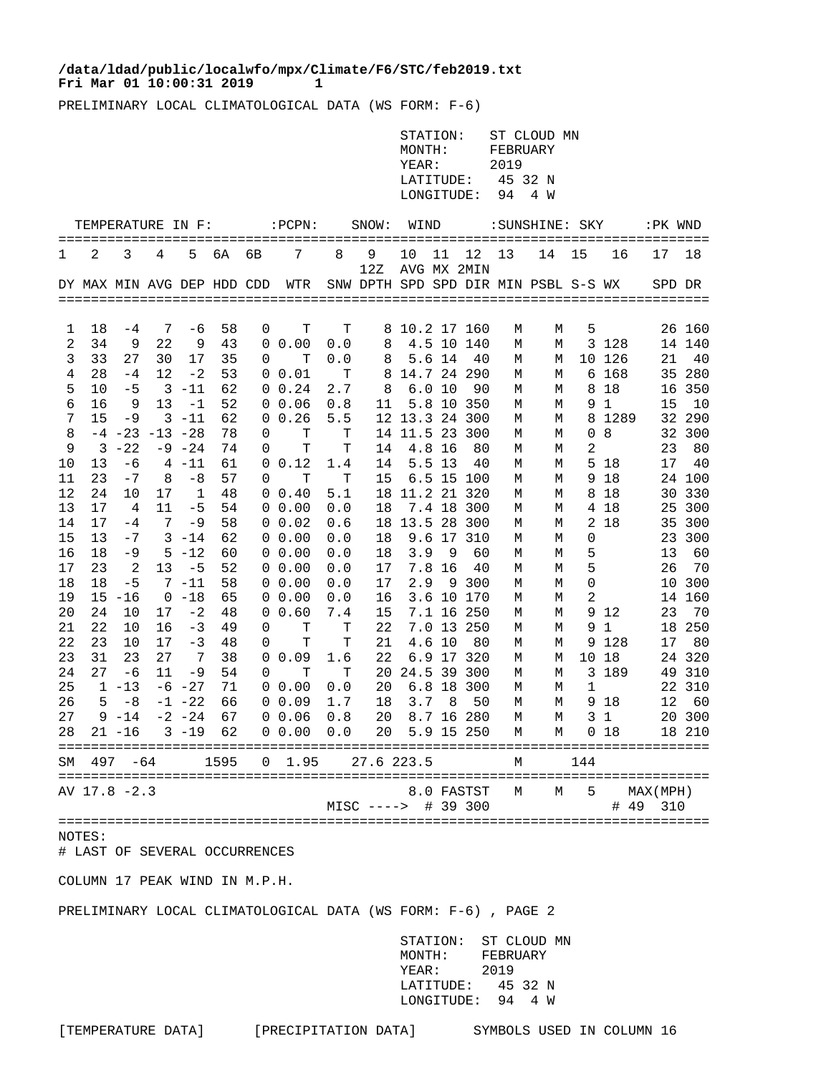## **Fri Mar 01 10:00:31 2019 1 /data/ldad/public/localwfo/mpx/Climate/F6/STC/feb2019.txt**

PRELIMINARY LOCAL CLIMATOLOGICAL DATA (WS FORM: F-6)

|          |                   |                |                        |                  |          |    |                                                                       |                     |                     | STATION:<br>MONTH:<br>YEAR:<br>LATITUDE:<br>LONGITUDE: |          |                    | FEBRUARY<br>2019<br>45 32 N<br>94 | ST CLOUD MN<br>4 W |     |                 |                       |                  |
|----------|-------------------|----------------|------------------------|------------------|----------|----|-----------------------------------------------------------------------|---------------------|---------------------|--------------------------------------------------------|----------|--------------------|-----------------------------------|--------------------|-----|-----------------|-----------------------|------------------|
|          | TEMPERATURE IN F: |                |                        |                  |          |    | $:$ PCPN:                                                             |                     | SNOW:               | WIND                                                   |          |                    |                                   | :SUNSHINE: SKY     |     |                 | :PK WND               |                  |
| 1        | 2                 | 3              | 4                      | 5                | 6A       | 6B | $7^{\circ}$                                                           | 8                   | 9<br>12Z            | 10<br>AVG MX 2MIN                                      | 11       | 12                 | 13                                | 14                 | 15  | 16              | 17                    | 18               |
|          |                   |                |                        |                  |          |    | DY MAX MIN AVG DEP HDD CDD  WTR  SNW DPTH SPD SPD DIR MIN PSBL S-S WX |                     |                     |                                                        |          |                    |                                   |                    |     |                 | SPD DR                |                  |
| ı        | 18                | $-4$           | 7                      | -6               | 58       | 0  | Т                                                                     | Т                   |                     | 8 10.2 17 160                                          |          |                    | М                                 | М                  | 5   |                 |                       | 26 160           |
| 2        | 34                | 9              | 22                     | 9                | 43       |    | $0\;\;0.00$                                                           | 0.0                 | 8                   |                                                        |          | 4.5 10 140         | М                                 | М                  |     | 3 1 2 8         |                       | 14 140           |
| 3        | 33                | 27             | 30                     | 17               | 35       | 0  | т                                                                     | 0.0                 | 8                   |                                                        | 5.6 14   | 40                 | М                                 | М                  |     | 10 126          | 21                    | 40               |
| 4        | 28                | $-4$           | 12                     | $-2$             | 53       |    | 0 0.01                                                                | $\mathbf{T}$        |                     | 8 14.7 24 290                                          |          |                    | М                                 | М                  |     | 6 168           |                       | 35 280           |
| 5        | 10                | $-5$           |                        | $3 - 11$         | 62       |    | $0 \t 0.24$                                                           | 2.7                 | - 8                 |                                                        | 6.010    | 90                 | М                                 | М                  |     | 8 18            |                       | 16 350           |
| 6        | 16                | - 9            | 13                     | $-1$             | 52       |    | 0 0.06                                                                | 0.8                 | 11                  |                                                        |          | 5.8 10 350         | М                                 | М                  |     | 9 1             | 15                    | 10               |
| 7        | 15                | $-9$           |                        | $3 - 11$         | 62       |    | 0 0.26                                                                | 5.5                 |                     | 12 13.3 24 300                                         |          |                    | М                                 | М                  |     | 8 1289          |                       | 32 290           |
| 8        |                   |                | $-4$ $-23$ $-13$ $-28$ |                  | 78       | 0  | T                                                                     | $\mathbf{T}$        |                     | 14 11.5 23 300                                         |          |                    | М                                 | М                  |     | 08              |                       | 32 300           |
| 9        | $\overline{3}$    | $-22$          |                        | $-9 - 24$        | 74       | 0  | Т                                                                     | Т                   | 14                  |                                                        | 4.8 16   | 80                 | М                                 | М                  | 2   |                 | 23                    | 80               |
| 10       | 13<br>23          | -6<br>$-7$     | 8                      | $4 - 11$<br>$-8$ | 61<br>57 | 0  | 0 0.12<br>T                                                           | 1.4<br>$\mathbf{T}$ | 14<br>15            |                                                        | $5.5$ 13 | - 40<br>6.5 15 100 | М                                 | М                  |     | 5 18<br>9 18    | 17                    | -40<br>24 100    |
| 11<br>12 | 24                | 10             | 17                     | 1                | 48       |    | 0 0.40                                                                | 5.1                 |                     | 18 11.2 21 320                                         |          |                    | М<br>М                            | М<br>М             |     | 8 18            |                       | 30 330           |
| 13       | 17                | $\overline{4}$ | 11                     | $-5$             | 54       |    | 0 0.00                                                                | 0.0                 | 18                  |                                                        |          | 7.4 18 300         | М                                 | М                  |     | 4 18            |                       | 25 300           |
| 14       | 17                | $-4$           | 7                      | $-9$             | 58       |    | $0\;\;0.02$                                                           | 0.6                 |                     | 18 13.5 28 300                                         |          |                    | М                                 | М                  |     | 2 18            |                       | 35 300           |
| 15       | 13                | $-7$           |                        | $3 - 14$         | 62       |    | $0\;\;0.00$                                                           | 0.0                 | 18                  |                                                        |          | 9.6 17 310         | М                                 | М                  | 0   |                 |                       | 23 300           |
| 16       | 18                | -9             |                        | $5 - 12$         | 60       |    | $0\;\;0.00$                                                           | 0.0                 | 18                  | 3.9                                                    | - 9      | 60                 | М                                 | М                  | 5   |                 | 13                    | 60               |
| 17       | 23                | $\overline{2}$ | 13                     | -5               | 52       |    | $0\;\;0.00$                                                           | 0.0                 | 17                  |                                                        | 7.8 16   | - 40               | М                                 | М                  | 5   |                 | 26                    | 70               |
| 18       | 18                | $-5$           |                        | $7 - 11$         | 58       |    | 0 0.00                                                                | 0.0                 | 17                  | 2.9                                                    |          | 9 300              | М                                 | М                  | 0   |                 |                       | 10 300           |
| 19       |                   | $15 - 16$      |                        | $0 - 18$         | 65       |    | $0\;\;0.00$                                                           | 0.0                 | 16                  |                                                        |          | 3.6 10 170         | М                                 | М                  | 2   |                 |                       | 14 160           |
| $20\,$   | 24                | 10             | 17                     | $-2$             | 48       |    | 0 0.60                                                                | 7.4                 | 15                  |                                                        |          | 7.1 16 250         | М                                 | М                  |     | 9 12            | 23                    | 70               |
| 21       | 22                | 10             | 16                     | $-3$             | 49       | 0  | Т                                                                     | $\mathbf{T}$        | 22                  |                                                        |          | 7.0 13 250         | М                                 | М                  |     | 91              |                       | 18 250           |
| 22       | 23                | 10             | 17                     | $-3$             | 48       | 0  | Т                                                                     | Т                   | 21                  |                                                        | 4.6 10   | - 80               | М                                 | М                  |     | 9 1 2 8         | 17                    | 80               |
| 23       | 31                | 23             | 27                     | $\overline{7}$   | 38       |    | 0 0.09                                                                | 1.6                 | 22                  |                                                        |          | 6.9 17 320         | М                                 | М                  |     | 10 18           |                       | 24 320           |
| 24<br>25 | 27                | -6<br>$1 - 13$ | 11                     | -9<br>$-6$ $-27$ | 54<br>71 | 0  | T<br>$0\;\;0.00$                                                      | $\mathbf{T}$<br>0.0 | 20                  | 20 24.5 39 300                                         |          | 6.8 18 300         | М<br>М                            | М<br>М             | 1   | 3 189           |                       | 49 310<br>22 310 |
| 26       |                   | $5 - 8$        |                        | $-1 - 22$        | 66       |    | 0 0.09                                                                | $1.7$               | 18                  | 3.7                                                    | - 8      | 50                 | М                                 | М                  |     | 9 18            | 12                    | 60               |
| 27       |                   | $9 - 14$       |                        | $-2$ $-24$       | 67       |    | 0 0.06                                                                | 0.8                 | 20                  |                                                        |          | 8.7 16 280         | М                                 | М                  |     | 31              |                       | 20 300           |
| 28       |                   | $21 - 16$      |                        | $3 - 19$         | 62       |    | $0\;\;0.00$                                                           | 0.0                 | 20                  |                                                        |          | 5.9 15 250         | М                                 | М                  |     | 0 <sub>18</sub> |                       | 18 210           |
|          | SM 497 -64        |                |                        |                  | 1595     |    | $0 \quad 1.95$                                                        |                     | 27.6 223.5          |                                                        |          |                    | М                                 |                    | 144 |                 |                       |                  |
|          | AV 17.8 -2.3      |                |                        |                  |          |    |                                                                       |                     | MISC ----> # 39 300 |                                                        |          | 8.0 FASTST         | М                                 | М                  | 5   |                 | MAX (MPH)<br># 49 310 |                  |
|          |                   |                |                        |                  |          |    |                                                                       |                     |                     |                                                        |          |                    |                                   |                    |     |                 |                       |                  |

NOTES:

# LAST OF SEVERAL OCCURRENCES

COLUMN 17 PEAK WIND IN M.P.H.

PRELIMINARY LOCAL CLIMATOLOGICAL DATA (WS FORM: F-6) , PAGE 2

 STATION: ST CLOUD MN MONTH: FEBRUARY YEAR: 2019 LATITUDE: 45 32 N LONGITUDE: 94 4 W